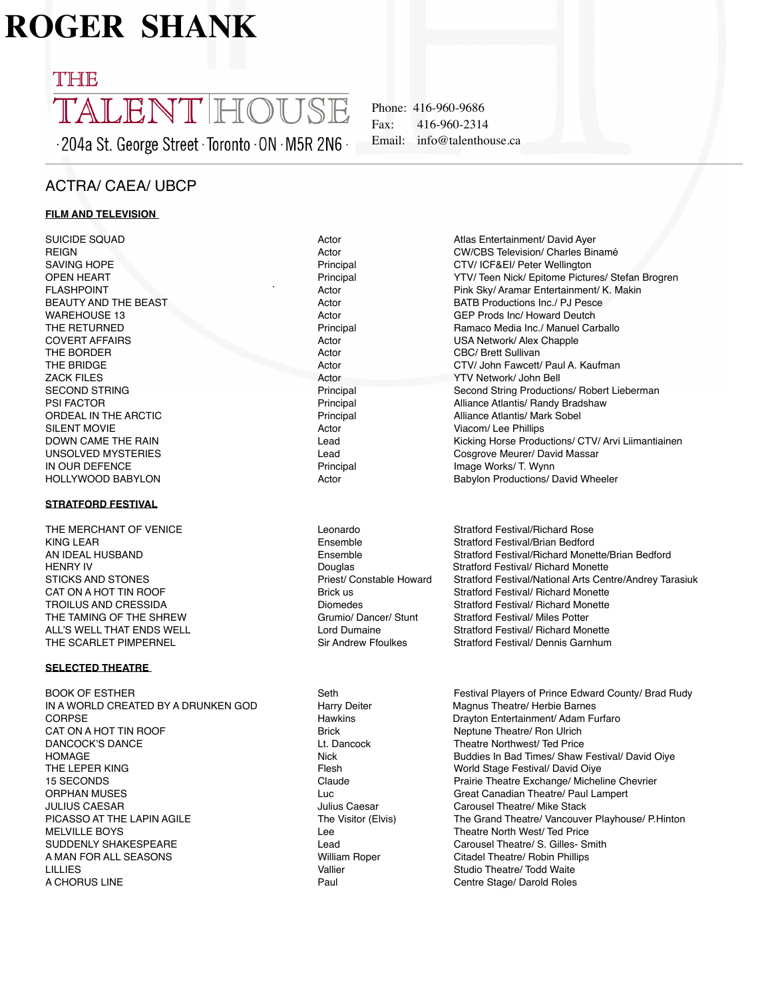# **ROGER SHANK**

## THE TALENT HOUSE

204a St. George Street Toronto ON M5R 2N6

Phone: 416-960-9686 Fax: 416-960-2314 Email: info@talenthouse.ca

### ACTRA/ CAEA/ UBCP

#### **FILM AND TELEVISION**

SUICIDE SQUAD **Actor** Actor Atlas Entertainment/ David Ayer REIGN **Actor** CW/CBS Television/ Charles Binamé SAVING HOPE **SAVING HOPE** PRESS AND RESERVE PRINCIPAL PRINCIPAL PRINCIPAL CTV/ ICF&EI/ Peter Wellington<br>
Principal Principal Principal Principal PRINCIPAL PRINCIPAL PRINCIPAL PRINCIPAL PRINCIPAL PRINCIPAL PRINCIPAL P FLASHPOINT **THE SKY ART ACTO ACTO A CONTROLLER SKY** Pink Sky/ Aramar Entertainment/ K. Makin BEAUTY AND THE BEAST **Actor** BATB Productions Inc./ PJ Pesce WAREHOUSE 13 **Actor** GEP Prods Inc/ Howard Deutch **GEP** Prods Inc/ Howard Deutch THE RETURNED **THE RETURNED**<br>COVERT AFFAIRS **Principal Actor** Actor **Principal Actor** COVERT AFFAIRS **Principal Actor** Actor **Principal Actor** COVERT AFFAIRS THE BORDER **Actor** CBC/ Brett Sullivan CBC/ Brett Sullivan THE BRIDGE **Actor** Actor **CTV/ John Fawcett/ Paul A. Kaufman** ZACK FILES **Actor** Actor **Actor** YTV Network/ John Bell SECOND STRING **Principal Second String Productions/ Robert Lieberman** Principal Second String Productions/ Robert Lieberman PSI FACTOR THE ARCTIC THE STATE REPORT ON THE PRINCIPAL PRINCIPAL Alliance Atlantis/ Randy Bradshaw<br>
Principal The Angle Atlantis/ Mark Sobel SILENT MOVIE **Actor** Actor **Actor** Viacom/ Lee Phillips IN OUR DEFENCE Principal Image Works/ T. Wynn

#### **STRATFORD FESTIVAL**

THE MERCHANT OF VENICE THE Leonardo Changed and Stratford Festival/Richard Rose KING LEAR **Ensemble** Stratford Festival/Brian Bedford **Ensemble** Stratford Festival/Brian Bedford TROILUS AND CRESSIDA Diomedes Stratford Festival/ Richard Monette THE TAMING OF THE SHREW Grumio/ Dancer/ Stunt Stratford Festival/ Miles Potter ALL'S WELL THAT ENDS WELL<br>THE SCARLET PIMPERNEL THE SOARLET PIMPERNEL STRATES STRANGES STRATFORM STRATFORM STRATFORM STRATFORM STRATFORM

#### **SELECTED THEATRE**

BOOK OF ESTHER Seth Seth Seth Festival Players of Prince Edward County/ Brad Rudy IN A WORLD CREATED BY A DRUNKEN GOD Harry Deiter Magnus Theatre/ Herbie Barnes CORPSE Hawkins Drayton Entertainment/ Adam Furfaro CAT ON A HOT TIN ROOF **BRICK CAT ON A HOT TIN ROOF** BRICK BRICK BRIGGER NEW REPORTS NEW ROOF DANCOCK'S DANCE **Lt. Dancock** Lt. Dancock Theatre Northwest/ Ted Price<br>HOMAGE HOMAGE HOMAGE HOMAGE HOMAGE HOMAGE 15 SECONDS Claude Prairie Theatre Exchange/ Micheline Chevrier ORPHAN MUSES<br>
Unit Great Canadian Theatre/ Paul Lampert<br>
Unit Caresar Carousel Theatre/ Mike Stack<br>
Carousel Theatre/ Mike Stack JULIUS CAESAR **Julius Caesar** Julius Caesar Carousel Theatre/ Mike Stack<br>PICASSO AT THE LAPIN AGILE **The Case Carousel The Canad Theatre/ Vancouve** MELVILLE BOYS **MELVILLE BOYS** Lee **Lee** Theatre North West/ Ted Price SUDDENLY SHAKESPEARE Lead Lead Carousel Theatre/ S. Gilles- Smith A MAN FOR ALL SEASONS William Roper Citadel Theatre/ Robin Phillips LILLIES **Studio Theatre/ Todd Waite** Vallier Studio Theatre/ Todd Waite A CHORUS LINE **Paul CENTRA CHORUS** Centre Stage/ Darold Roles

Principal **YTV/ Teen Nick/ Epitome Pictures/ Stefan Brogren** Actor **COVERT ACTOR ACTOR ACTOR** Principal **Internal 2018** Alliance Atlantis/ Mark Sobel

DOWN CAME THE RAIN **Example 20 Tana Arrival Capacita** Cosar Arvive Horse Productions/ CTV/ Arvi Liimantiainen<br>
Lead Cosarove Meurer/ David Massar Lead Cosgrove Meurer/ David Massar HOLLYWOOD BABYLON **Actor** Actor **Actor** Babylon Productions/ David Wheeler AN IDEAL HUSBAND **Ensemble** Ensemble Stratford Festival/Richard Monette/Brian Bedford<br>HENRY IV BENET Douglas Stratford Festival/ Richard Monette Stratford Festival/ Richard Monette STICKS AND STONES **Priest/ Constable Howard** Stratford Festival/National Arts Centre/Andrey Tarasiuk CAT ON A HOT TIN ROOF **BRICK USING THE STRATFORM BRICK** US Stratford Festival/ Richard Monette

Stratford Festival/ Dennis Garnhum

HOMAGE NICK Buddies In Bad Times/ Shaw Festival/ David Oiye<br>THE LEPER KING THE LEPER KING Flesh World Stage Festival/ David Oiye The Grand Theatre/ Vancouver Playhouse/ P.Hinton